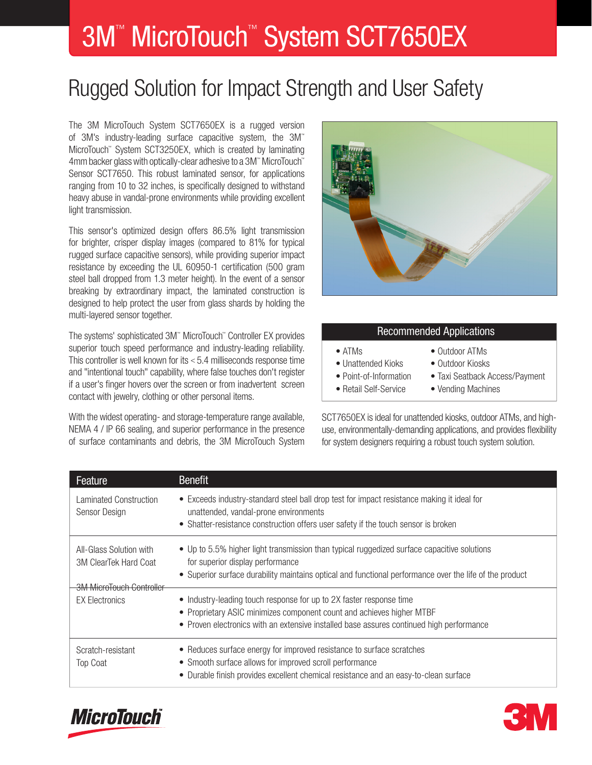# 3M<sup>™</sup> MicroTouch<sup>™</sup> System SCT7650EX

## Rugged Solution for Impact Strength and User Safety

The 3M MicroTouch System SCT7650EX is a rugged version of 3M's industry-leading surface capacitive system, the 3M™ MicroTouch™ System SCT3250EX, which is created by laminating 4mm backer glass with optically-clear adhesive to a 3M™ MicroTouch™ Sensor SCT7650. This robust laminated sensor, for applications ranging from 10 to 32 inches, is specifically designed to withstand heavy abuse in vandal-prone environments while providing excellent light transmission.

This sensor's optimized design offers 86.5% light transmission for brighter, crisper display images (compared to 81% for typical rugged surface capacitive sensors), while providing superior impact resistance by exceeding the UL 60950-1 certification (500 gram steel ball dropped from 1.3 meter height). In the event of a sensor breaking by extraordinary impact, the laminated construction is designed to help protect the user from glass shards by holding the multi-layered sensor together.

The systems' sophisticated 3M™ MicroTouch™ Controller EX provides superior touch speed performance and industry-leading reliability. This controller is well known for its < 5.4 milliseconds response time and "intentional touch" capability, where false touches don't register if a user's finger hovers over the screen or from inadvertent screen contact with jewelry, clothing or other personal items.

With the widest operating- and storage-temperature range available, NEMA 4 / IP 66 sealing, and superior performance in the presence of surface contaminants and debris, the 3M MicroTouch System



#### Recommended Applications

- Outdoor ATMs
- Unattended Kioks Outdoor Kiosks
- 
- 
- 
- Point-of-Information Taxi Seatback Access/Payment
- Retail Self-Service Vending Machines

SCT7650EX is ideal for unattended kiosks, outdoor ATMs, and highuse, environmentally-demanding applications, and provides flexibility for system designers requiring a robust touch system solution.

| Feature                                                                             | <b>Benefit</b>                                                                                                                                                                                                                             |
|-------------------------------------------------------------------------------------|--------------------------------------------------------------------------------------------------------------------------------------------------------------------------------------------------------------------------------------------|
| Laminated Construction<br>Sensor Design                                             | • Exceeds industry-standard steel ball drop test for impact resistance making it ideal for<br>unattended, vandal-prone environments<br>• Shatter-resistance construction offers user safety if the touch sensor is broken                  |
| All-Glass Solution with<br>3M ClearTek Hard Coat<br><b>3M MicroTouch Controller</b> | • Up to 5.5% higher light transmission than typical ruggedized surface capacitive solutions<br>for superior display performance<br>• Superior surface durability maintains optical and functional performance over the life of the product |
| <b>EX Electronics</b>                                                               | • Industry-leading touch response for up to 2X faster response time<br>• Proprietary ASIC minimizes component count and achieves higher MTBF<br>• Proven electronics with an extensive installed base assures continued high performance   |
| Scratch-resistant<br><b>Top Coat</b>                                                | • Reduces surface energy for improved resistance to surface scratches<br>• Smooth surface allows for improved scroll performance<br>Durable finish provides excellent chemical resistance and an easy-to-clean surface                     |